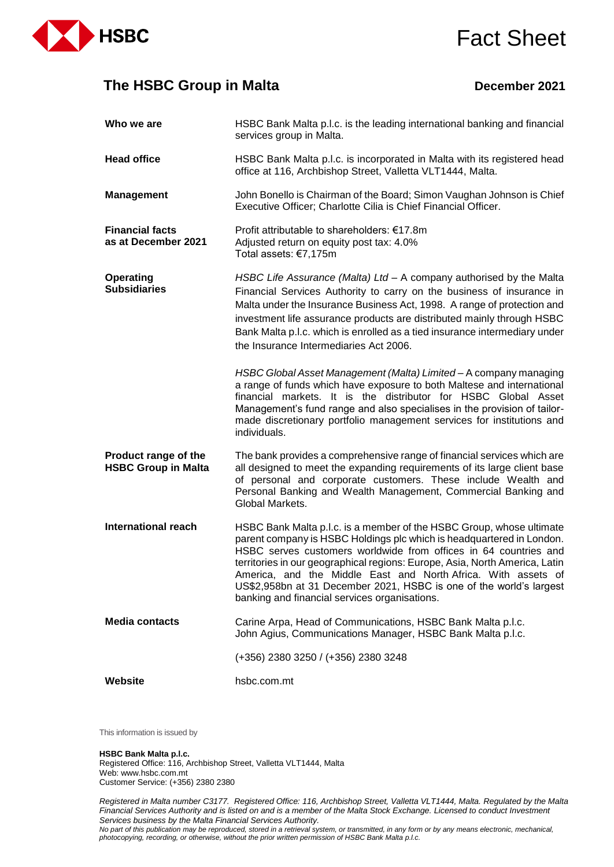

# Fact Sheet

## **The HSBC Group in Malta December 2021**

| Who we are                                         | HSBC Bank Malta p.l.c. is the leading international banking and financial<br>services group in Malta.                                                                                                                                                                                                                                                                                                                                                                                     |
|----------------------------------------------------|-------------------------------------------------------------------------------------------------------------------------------------------------------------------------------------------------------------------------------------------------------------------------------------------------------------------------------------------------------------------------------------------------------------------------------------------------------------------------------------------|
| <b>Head office</b>                                 | HSBC Bank Malta p.l.c. is incorporated in Malta with its registered head<br>office at 116, Archbishop Street, Valletta VLT1444, Malta.                                                                                                                                                                                                                                                                                                                                                    |
| <b>Management</b>                                  | John Bonello is Chairman of the Board; Simon Vaughan Johnson is Chief<br>Executive Officer; Charlotte Cilia is Chief Financial Officer.                                                                                                                                                                                                                                                                                                                                                   |
| <b>Financial facts</b><br>as at December 2021      | Profit attributable to shareholders: €17.8m<br>Adjusted return on equity post tax: 4.0%<br>Total assets: €7,175m                                                                                                                                                                                                                                                                                                                                                                          |
| <b>Operating</b><br><b>Subsidiaries</b>            | HSBC Life Assurance (Malta) Ltd - A company authorised by the Malta<br>Financial Services Authority to carry on the business of insurance in<br>Malta under the Insurance Business Act, 1998. A range of protection and<br>investment life assurance products are distributed mainly through HSBC<br>Bank Malta p.l.c. which is enrolled as a tied insurance intermediary under<br>the Insurance Intermediaries Act 2006.                                                                 |
|                                                    | HSBC Global Asset Management (Malta) Limited - A company managing<br>a range of funds which have exposure to both Maltese and international<br>financial markets. It is the distributor for HSBC Global Asset<br>Management's fund range and also specialises in the provision of tailor-<br>made discretionary portfolio management services for institutions and<br>individuals.                                                                                                        |
| Product range of the<br><b>HSBC Group in Malta</b> | The bank provides a comprehensive range of financial services which are<br>all designed to meet the expanding requirements of its large client base<br>of personal and corporate customers. These include Wealth and<br>Personal Banking and Wealth Management, Commercial Banking and<br>Global Markets.                                                                                                                                                                                 |
| <b>International reach</b>                         | HSBC Bank Malta p.l.c. is a member of the HSBC Group, whose ultimate<br>parent company is HSBC Holdings plc which is headquartered in London.<br>HSBC serves customers worldwide from offices in 64 countries and<br>territories in our geographical regions: Europe, Asia, North America, Latin<br>America, and the Middle East and North Africa. With assets of<br>US\$2,958bn at 31 December 2021, HSBC is one of the world's largest<br>banking and financial services organisations. |
| <b>Media contacts</b>                              | Carine Arpa, Head of Communications, HSBC Bank Malta p.l.c.<br>John Agius, Communications Manager, HSBC Bank Malta p.l.c.                                                                                                                                                                                                                                                                                                                                                                 |
|                                                    | (+356) 2380 3250 / (+356) 2380 3248                                                                                                                                                                                                                                                                                                                                                                                                                                                       |
| <b>Website</b>                                     | hsbc.com.mt                                                                                                                                                                                                                                                                                                                                                                                                                                                                               |

This information is issued by

#### **HSBC Bank Malta p.l.c.**

Registered Office: 116, Archbishop Street, Valletta VLT1444, Malta Web: www.hsbc.com.mt Customer Service: (+356) 2380 2380

*Registered in Malta number C3177. Registered Office: 116, Archbishop Street, Valletta VLT1444, Malta. Regulated by the Malta Financial Services Authority and is listed on and is a member of the Malta Stock Exchange. Licensed to conduct Investment Services business by the Malta Financial Services Authority.* 

*No part of this publication may be reproduced, stored in a retrieval system, or transmitted, in any form or by any means electronic, mechanical, photocopying, recording, or otherwise, without the prior written permission of HSBC Bank Malta p.l.c.*